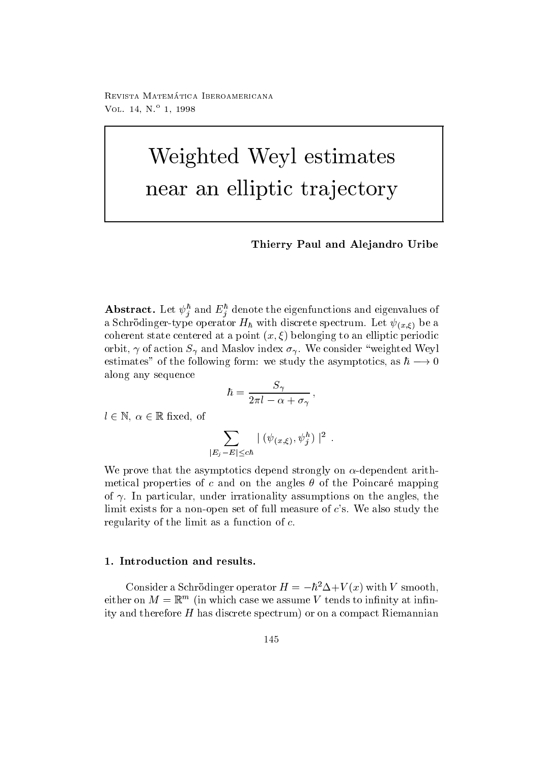reprisonal matematica - abbateonimbat ontara VOL  $14, N^{\circ}$  1, 1998

# Weighted Weyl estimates near an elliptic transport of the set of the set of the set of the set of the set of the set of the set of the

Thierry Paul and Alejandro Uribe

**Abstract.** Let  $\psi_j$  and  $E_j$  denote the eigenfunctions and eigenvalues of a Schrift spectrum Let  $\mathbf{H}$  and  $\mathbf{H}$  are a spectrum Let  $\mathbf{H}$  and  $\mathbf{H}$  are a spectrum Let  $\mathbf{H}$  and  $\mathbf{H}$  are a spectrum Let  $\mathbf{H}$  and  $\mathbf{H}$  are a spectrum Let  $\mathbf{H}$  and  $\mathbf{H}$  are a spectr coherent state centered at a point x-belonging to an elliptic periodic periodic periodic periodic periodic per orbit,  $\gamma$  of action  $S_{\gamma}$  and Maslov index  $\sigma_{\gamma}$ . We consider "weighted Weyl estimates<sup>"</sup> of the following form: we study the asymptotics, as  $h \rightarrow 0$ along any sequence

$$
\hbar = \frac{S_\gamma}{2\pi l - \alpha + \sigma_\gamma} \,,
$$

 $l \in \mathbb{N}, \ \alpha \in \mathbb{R}$  fixed, of

$$
\sum_{|E_j-E|\leq c\hbar} \mid (\psi_{(x,\xi)},\psi_j^h)\mid^2\;.
$$

We prove that the asymptotics depend strongly on  $\alpha$ -dependent arithmetical properties of c and on the angles  $\theta$  of the Poincaré mapping of  $\gamma$ . In particular, under irrationality assumptions on the angles, the limit exists for a non-open set of full measure of  $c$ 's. We also study the regularity of the limit as a function of  $c$ .

Consider a Schrodinger operator  $H = -h^2 \Delta + V(x)$  with V smooth, either on  $M = \mathbb{R}$  (in which case we assume V tends to infinity at inniity and therefore  $H$  has discrete spectrum) or on a compact Riemannian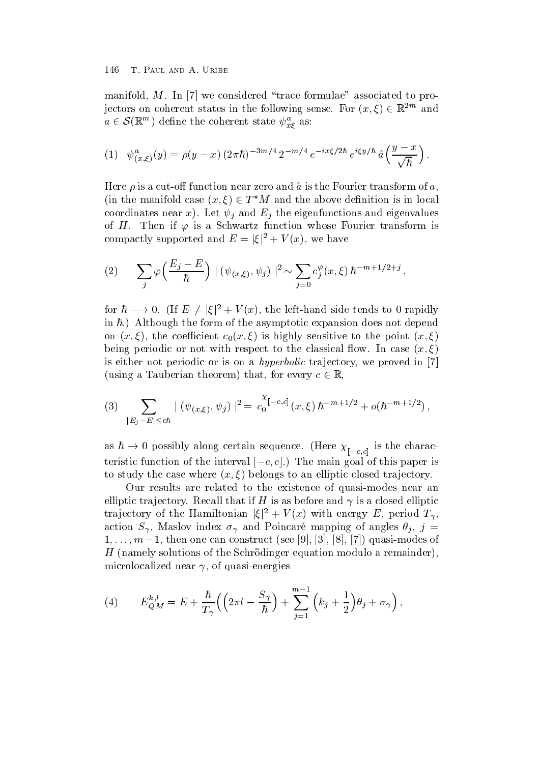manifold,  $M$ . In [7] we considered "trace formulae" associated to projectors on coherent states in the following sense. For  $(x, \xi) \in \mathbb{R}^{2m}$  and  $a \in \mathcal{S}(\mathbb{R}^m)$  define the coherent state  $\psi^a_{x\ell}$  as:

(1) 
$$
\psi_{(x,\xi)}^a(y) = \rho(y-x) (2\pi\hbar)^{-3m/4} 2^{-m/4} e^{-ix\xi/2\hbar} e^{i\xi y/\hbar} \hat{a} \left( \frac{y-x}{\sqrt{\hbar}} \right).
$$

Here is a cuto function near zero and a is the Fourier transform of a (in the manifold case  $(x,\xi) \in T^*M$  and the above definition is in local coordinates near x). Let  $\psi_i$  and  $E_i$  the eigenfunctions and eigenvalues of H. Then if  $\varphi$  is a Schwartz function whose Fourier transform is compactly supported and  $E = |\xi|^2 + V(x)$ , we have

(2) 
$$
\sum_{j} \varphi \left( \frac{E_j - E}{\hbar} \right) \mid (\psi_{(x,\xi)}, \psi_j) \mid^2 \sim \sum_{j=0} c_j^{\varphi}(x,\xi) \hbar^{-m+1/2+j},
$$

for  $\hbar \longrightarrow 0$ . (If  $E \neq |\xi|^2 + V(x)$ , the left-hand side tends to 0 rapidly in  $\hbar$ .) Although the form of the asymptotic expansion does not depend  $\mathbf{v}$  is the coecient coefficient coefficient coefficient coefficient coefficient coefficient coefficient coefficient coefficient coefficient coefficient coefficient coefficient coefficient coefficient coefficient coef being periodic or not with respect to the classical or  $\mathbf{r}$  and  $\mathbf{r}$  and  $\mathbf{r}$ is either not periodic or is on a *hyperbolic* trajectory, we proved in  $[7]$ (using a Tauberian theorem) that, for every  $c \in \mathbb{R}$ .

$$
(3) \sum_{|E_j - E| \leq c\hbar} |(\psi_{(x,\xi)}, \psi_j)|^2 = c_0^{\chi_{[-c,c]}}(x,\xi) \hbar^{-m+1/2} + o(\hbar^{-m+1/2}),
$$

as  $h\to 0$  possibly along certain sequence. (Here  $\chi_{[-c,c]}^{\vphantom{A}}$  is the charac $t$  can be called the the contract  $\sim$   $c_1$ . The main goal of this paper is to study the case where  $\mathcal{L}$  and  $\mathcal{L}$  and  $\mathcal{L}$  and  $\mathcal{L}$  and  $\mathcal{L}$ 

Our results are related to the existence of quasi-modes near an elliptic trajectory. Recall that if H is as before and  $\gamma$  is a closed elliptic trajectory of the Hamiltonian  $|\xi|^2 + V(x)$  with energy E, period  $T_{\gamma}$ , action  $S_{\gamma}$ , Maslov index  $\sigma_{\gamma}$  and Poincaré mapping of angles  $\theta_j$ ,  $j =$  $1, \ldots, m-1$ , then one can construct (see [3], [9], [0], [1]) quasi-modes of H namely solutions of the Schr-odinger equation modulo a remainder microlocalized near  $\gamma$ , of quasi-energies

(4) 
$$
E_{QM}^{k,l} = E + \frac{\hbar}{T_{\gamma}} \Big( \Big( 2\pi l - \frac{S_{\gamma}}{\hbar} \Big) + \sum_{j=1}^{m-1} \Big( k_j + \frac{1}{2} \Big) \theta_j + \sigma_{\gamma} \Big) ,
$$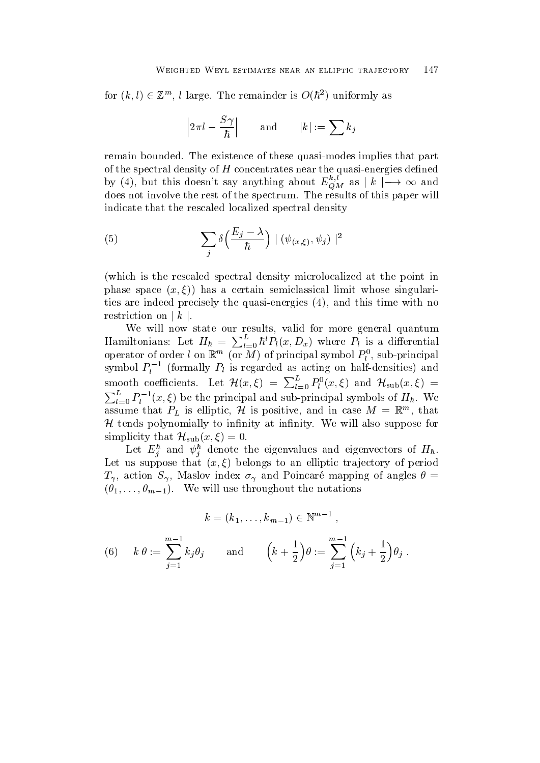for  $(k, l) \in \mathbb{Z}^m$ , l large. The remainder is  $O(h^2)$  uniformly as

$$
\left|2\pi l-\frac{S\gamma}{\hbar}\right|\qquad\text{and}\qquad |k|:=\sum k_j
$$

remain bounded. The existence of these quasi-modes implies that part of the spectral density of H concentrates near the quasienergies dened by (4), but this doesn't say anything about  $E_{OM}^{\kappa,\iota}$  as  $|k| \rightarrow \infty$  and does not involve the rest of the spectrum The results of this paper will indicate that the rescaled localized spectral density

(5) 
$$
\sum_{j} \delta\left(\frac{E_j - \lambda}{\hbar}\right) \mid (\psi_{(x,\xi)}, \psi_j) \mid^2
$$

(which is the rescaled spectral density microlocalized at the point in phase space  $\{x_i\}$  and semiconductor semiclassical limit whose singularity  $\{x_i\}$ ties are indeed precisely the quasi-energies  $(4)$ , and this time with no restriction on  $|k|$ .

We will now state our results, valid for more general quantum Hamiltonians: Let  $H_{\hbar} = \sum_{l=0}^{L} \hbar^l P_l(x, D_x)$  where  $P_l$  is a differential operator of order  $\iota$  on  $\mathbb{R}^m$  (or  $M$  ) of principal symbol  $P_l^*$ , sub-principal symbol  $P_l^{-1}$  (formally  $P_l$  is regarded as acting on half-densities) and smooth coefficients. Let  $\mathcal{H}(x,\xi) = \sum_{l=0}^{\infty} P_l^0(x,\xi)$  and  $\mathcal{H}_{sub}(x,\xi) =$  $\sum_{l=0}^{L} P_l^{-1}(x,\xi)$  be the principal and sub-principal symbols of  $H_\hbar$ . We assume that  $P_L$  is elliptic, H is positive, and in case  $M = \mathbb{R}^m$ , that  $H$  tends polynomially to infinity at infinity. We will also suppose for simplicity that  $\mathcal{H}_{sub}(x,\xi)=0$ .

Let  $E_j^+$  and  $\psi_j^+$  denote the eigenvalues and eigenvectors of  $H_\hbar$ . Let us suppose that x- belongs to an elliptic tra jectory of period  $T_{\gamma}$ , action  $S_{\gamma}$ , Maslov index  $\sigma_{\gamma}$  and Poincaré mapping of angles  $\theta =$  $\mathcal{L}_{\text{eff}}$  . We will do the definition the notations of  $\mathcal{L}_{\text{eff}}$ 

$$
k = (k_1, \ldots, k_{m-1}) \in \mathbb{N}^{m-1}
$$
,

(6) 
$$
k \theta := \sum_{j=1}^{m-1} k_j \theta_j
$$
 and  $(k + \frac{1}{2}) \theta := \sum_{j=1}^{m-1} (k_j + \frac{1}{2}) \theta_j$ .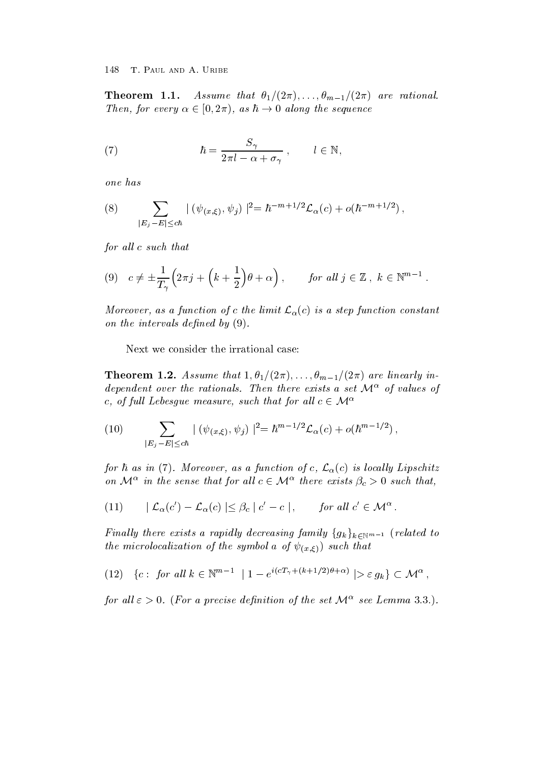Assume that 
- - m- are rational-Then, for every  $\alpha \in (0, 2\pi)$ , as  $h \to 0$  along the sequence

(7) 
$$
\hbar = \frac{S_{\gamma}}{2\pi l - \alpha + \sigma_{\gamma}} , \qquad l \in \mathbb{N},
$$

one has

(8) 
$$
\sum_{|E_j - E| \leq c\hbar} |(\psi_{(x,\xi)}, \psi_j)|^2 = \hbar^{-m+1/2} \mathcal{L}_{\alpha}(c) + o(\hbar^{-m+1/2}),
$$

for all  $c$  such that

$$
(9) \quad c \neq \pm \frac{1}{T_{\gamma}} \Big( 2\pi j + \Big( k + \frac{1}{2} \Big) \theta + \alpha \Big) \,, \qquad \text{for all } j \in \mathbb{Z} \,, \ k \in \mathbb{N}^{m-1} \,.
$$

Moreover, as a function of c the limit  $\mathcal{L}_{\alpha}(c)$  is a step function constant on the intervals defined by  $(9)$ .

Next we consider the irrational case

 $\pm$  2002 022  $\pm$  100  $\pm$  100  $\pm$  100  $\pm$  100  $\pm$  100  $\pm$  100  $\pm$  100  $\pm$  1100  $\pm$  1100  $\pm$  1100  $\pm$  1100  $\pm$  1100  $\pm$  1100  $\pm$  1100  $\pm$  1100  $\pm$  1100  $\pm$  1100  $\pm$  1100  $\pm$  1100  $\pm$  1100  $\pm$  1100  $\pm$ dependent over the rationals. Then there exists a set  $\mathcal{M}^{\alpha}$  of values of c, of full Lebesque measure, such that for all  $c \in \mathcal{M}^{\alpha}$ 

(10) 
$$
\sum_{|E_j - E| \leq c\hbar} |(\psi_{(x,\xi)}, \psi_j)|^2 = \hbar^{m-1/2} \mathcal{L}_{\alpha}(c) + o(\hbar^{m-1/2}),
$$

for  $\hbar$  as in (7). Moreover, as a function of c,  $\mathcal{L}_{\alpha}(c)$  is locally Lipschitz on  $\mathcal{M}^{\alpha}$  in the sense that for all  $c \in \mathcal{M}^{\alpha}$  there exists  $\beta_c > 0$  such that,

(11) 
$$
|\mathcal{L}_{\alpha}(c') - \mathcal{L}_{\alpha}(c)| \leq \beta_c |c' - c|
$$
, for all  $c' \in \mathcal{M}^{\alpha}$ .

Finally there exists a rapidly decreasing family  $\{g_k\}_{k\in\mathbb{N}^{m-1}}$  (related to  $\mathcal{J}$  and  $\mathcal{J}$  and  $\mathcal{J}$  and  $\mathcal{J}$  are symbol as of  $\mathcal{J}$  and  $\mathcal{J}$  are symbol as  $\mathcal{J}$ 

$$
(12) \quad \{c: \text{ for all } k \in \mathbb{N}^{m-1} \mid 1 - e^{i(cT_{\gamma} + (k+1/2)\theta + \alpha)} \mid > \varepsilon g_k\} \subset \mathcal{M}^{\alpha} ,
$$

for all  $\varepsilon > 0$ . (For a precise definition of the set  $\mathcal{M}^{\alpha}$  see Lemma 3.3.).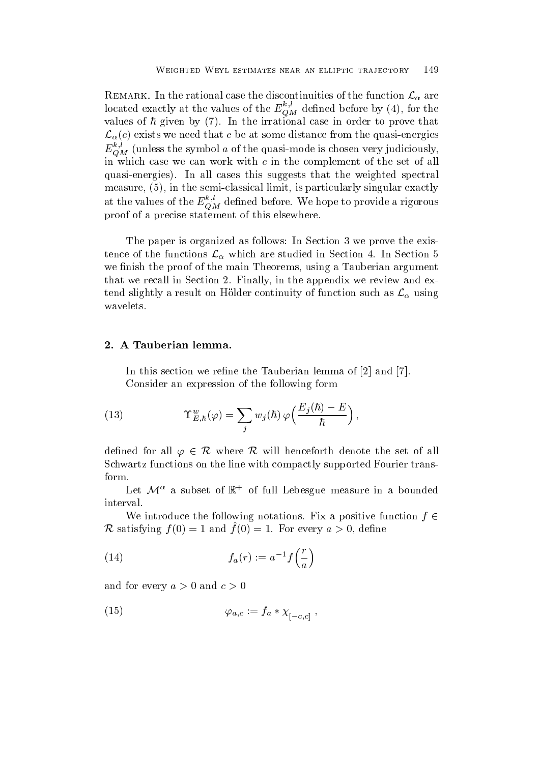REMARK. In the rational case the discontinuities of the function  $\mathcal{L}_{\alpha}$  are located exactly at the values of the  $E_{\hat{O}M}$  defined before by (4), for the values of  $\hbar$  given by (7). In the irrational case in order to prove that  $\mathcal{L}_{\alpha}(c)$  exists we need that c be at some distance from the quasi-energies  $E_{OM}^{\sim}$  (unless the symbol  $a$  of the quasi-mode is chosen very judiciously, in which case we can work with  $c$  in the complement of the set of all quasi-energies). In all cases this suggests that the weighted spectral measure,  $(5)$ , in the semi-classical limit, is particularly singular exactly at the values of the  $E_{OM}^-$  defined before. We hope to provide a rigorous proof of a proof of a proof of the proof of the statement of this elsewhere the statement of this elsewhere the

The paper is organized as follows the existence of the prove the existence of the existence of the existence o tence of the functions  $\mathcal{L}_{\alpha}$  which are studied in Section 4. In Section 5 we finish the proof of the main Theorems, using a Tauberian argument that we recall in Section 2. Finally, in the appendix we review and extend slightly a result on Hölder continuity of function such as  $\mathcal{L}_{\alpha}$  using wavelets

In this section we refine the Tauberian lemma of  $[2]$  and  $[7]$ . Consider an expression of the following form

(13) 
$$
\Upsilon_{E,\hbar}^{w}(\varphi) = \sum_{j} w_{j}(\hbar) \varphi\left(\frac{E_{j}(\hbar) - E}{\hbar}\right),
$$

defined for all  $\varphi \in \mathcal{R}$  where  $\mathcal{R}$  will henceforth denote the set of all Schwartz functions on the line with compactly supported Fourier trans form

Let  $\mathcal{M}^{\alpha}$  a subset of  $\mathbb{R}^+$  of full Lebesgue measure in a bounded interval

We introduce the following notations. Fix a positive function  $f \in$ R satisfying  $f(0) = 1$  and  $f(0) = 1$ . For every  $a > 0$ , define

(14) 
$$
f_a(r) := a^{-1} f\left(\frac{r}{a}\right)
$$

and for every  $a > 0$  and  $c > 0$ 

$$
(15) \qquad \qquad \varphi_{a,c} := f_a * \chi_{[-c,c]} \;,
$$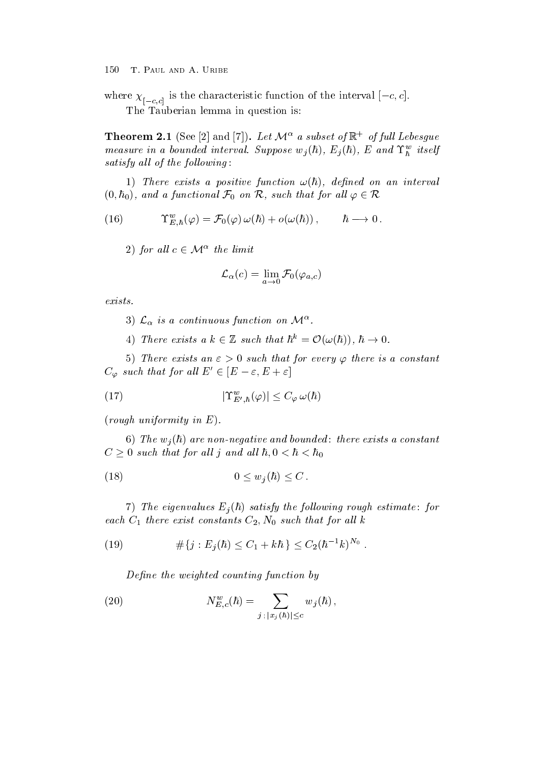where  $\chi_{[-c,c]}$  is the characteristic function of the interval  $[-c, c]$ . The Tauberian lemma in question is

**Theorem 2.1** (See [2] and [7]). Let  $\mathcal{M}^{\alpha}$  a subset of  $\mathbb{R}^+$  of full Lebesque measure in a bounded interval. Suppose  $w_j(n)$ ,  $E_j(n)$ ,  $E$  and  $\mathbf{1}_{\hbar}$  itself satisfy all of the following:

1) There exists a positive function  $\omega(\hbar)$ , defined on an interval  $(0, \hbar_0)$ , and a functional  $\mathcal{F}_0$  on  $\mathcal{R}$ , such that for all  $\varphi \in \mathcal{R}$ 

(16) 
$$
\Upsilon^w_{E,\hbar}(\varphi) = \mathcal{F}_0(\varphi) \,\omega(\hbar) + o(\omega(\hbar)), \qquad \hbar \longrightarrow 0.
$$

2) for all  $c \in \mathcal{M}^{\alpha}$  the limit

$$
\mathcal{L}_{\alpha}(c)=\lim_{a\rightarrow 0}\mathcal{F}_{0}(\varphi_{a,c})
$$

exists.

- 3)  $\mathcal{L}_{\alpha}$  is a continuous function on  $\mathcal{M}^{\alpha}$ .
- 4) There exists a  $k \in \mathbb{Z}$  such that  $\hbar^k = \mathcal{O}(\omega(\hbar))$ ,  $\hbar \to 0$ .

5) There exists an  $\varepsilon > 0$  such that for every  $\varphi$  there is a constant  $C_{\varphi}$  such that for all  $E' \in [E - \varepsilon, E + \varepsilon]$ 

$$
(17) \t\t\t |\Upsilon_{E',\hbar}^w(\varphi)| \le C_\varphi \,\omega(\hbar)
$$

 $(rough\ uniformity\ in\ E).$ 

v, — the sequence are the strengtheness sections and bounded bounded bounded bounded bounded bounded bounded  $C \geq 0$  such that for all j and all  $\hbar, 0 < \hbar < \hbar_0$ 

$$
(18) \t\t 0 \le w_j(\hbar) \le C.
$$

 $T$  , we eigenvalue  $T$  , the following rough estimate  $f$  is the following rough estimate  $f$  . each C there exist constants  $\mathcal{L} = \mathcal{L} \mathcal{L}$  and  $\mathcal{L} = \mathcal{L} \mathcal{L}$ 

(19) 
$$
\#\{j: E_j(\hbar) \leq C_1 + k\hbar\} \leq C_2 (\hbar^{-1}k)^{N_0}
$$

Define the weighted counting function by

(20) 
$$
N_{E,c}^w(\hbar) = \sum_{j \; ; \; |x_j(\hbar)| \leq c} w_j(\hbar) ,
$$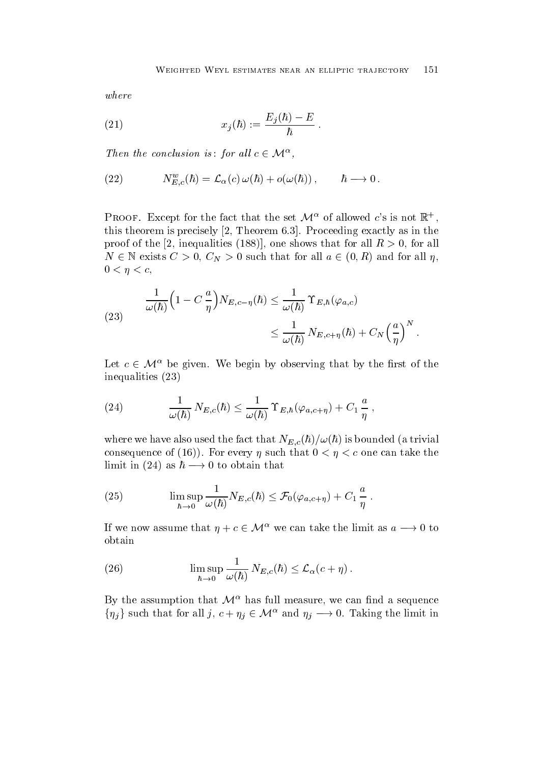where

(21) 
$$
x_j(\hbar) := \frac{E_j(\hbar) - E}{\hbar} \; .
$$

Then the conclusion is: for all  $c \in \mathcal{M}^{\alpha}$ ,

(22) 
$$
N_{E,c}^w(\hbar) = \mathcal{L}_{\alpha}(c) \,\omega(\hbar) + o(\omega(\hbar)), \qquad \hbar \longrightarrow 0.
$$

**PROOF.** Except for the fact that the set  $\mathcal{M}^{\alpha}$  of allowed c's is not  $\mathbb{R}^{+}$ , this theorem is precisely  $[2,$  Theorem 6.3. Proceeding exactly as in the proof of the [2, inequalities (188)], one shows that for all  $R > 0$ , for all  $N \in \mathbb{N}$  exists  $C > 0$ ,  $C_N > 0$  such that for all  $a \in (0, R)$  and for all  $\eta$ ,  $0 < \eta < c$ ,

(23) 
$$
\frac{1}{\omega(\hbar)} \left(1 - C\frac{a}{\eta}\right) N_{E,c-\eta}(\hbar) \leq \frac{1}{\omega(\hbar)} \Upsilon_{E,\hbar}(\varphi_{a,c}) \leq \frac{1}{\omega(\hbar)} N_{E,c+\eta}(\hbar) + C_N \left(\frac{a}{\eta}\right)^N.
$$

Let  $c \in \mathcal{M}^{\alpha}$  be given. We begin by observing that by the first of the inequalities

(24) 
$$
\frac{1}{\omega(\hbar)} N_{E,c}(\hbar) \leq \frac{1}{\omega(\hbar)} \Upsilon_{E,\hbar}(\varphi_{a,c+\eta}) + C_1 \frac{a}{\eta},
$$

where we have the fact that the fact that  $\mathcal{L}_{\mathcal{A}}$  is  $\mathcal{L}_{\mathcal{A}}$  is  $\mathcal{L}_{\mathcal{A}}$  is that  $\mathcal{L}_{\mathcal{A}}$  is a trivial that  $\mathcal{L}_{\mathcal{A}}$ consequence of (16)). For every  $\eta$  such that  $0 < \eta < c$  one can take the limit in (24) as  $h \longrightarrow 0$  to obtain that

(25) 
$$
\limsup_{\hbar \to 0} \frac{1}{\omega(\hbar)} N_{E,c}(\hbar) \leq \mathcal{F}_0(\varphi_{a,c+\eta}) + C_1 \frac{a}{\eta}.
$$

If we now assume that  $\eta + c \in \mathcal{M}^{\alpha}$  we can take the limit as  $a \longrightarrow 0$  to obtain

(26) 
$$
\limsup_{\hbar \to 0} \frac{1}{\omega(\hbar)} N_{E,c}(\hbar) \leq \mathcal{L}_{\alpha}(c + \eta).
$$

By the assumption that  $\mathcal{M}^{\alpha}$  has full measure, we can find a sequence  $\{\eta_j\}$  such that for all  $j, c + \eta_j \in \mathcal{M}^{\alpha}$  and  $\eta_j \longrightarrow 0$ . Taking the limit in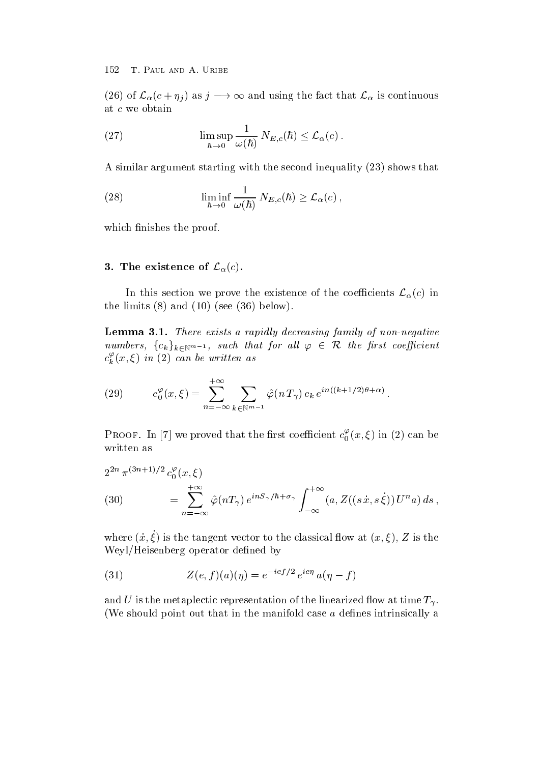(26) of  $\mathcal{L}_{\alpha}(c+\eta_i)$  as  $j \longrightarrow \infty$  and using the fact that  $\mathcal{L}_{\alpha}$  is continuous at c we obtain

(27) 
$$
\limsup_{\hbar \to 0} \frac{1}{\omega(\hbar)} N_{E,c}(\hbar) \leq \mathcal{L}_{\alpha}(c).
$$

A similar argument starting with the second inequality  $(23)$  shows that

(28) 
$$
\liminf_{\hbar \to 0} \frac{1}{\omega(\hbar)} N_{E,c}(\hbar) \geq \mathcal{L}_{\alpha}(c),
$$

which finishes the proof.

#### 3. The existence of  $\mathcal{L}_{\alpha}(c)$ .

In this section we prove the existence of the coefficients  $\mathcal{L}_{\alpha}(c)$  in the limits  $(8)$  and  $(10)$  (see  $(36)$  below).

Lemma -- There exists a rapid ly decreasing family of nonnegative numbers,  ${c_k}_{k\in\mathbb{N}^{m-1}}$ , such that for all  $\varphi \in \mathcal{R}$  the first coefficient  $c_k^r(x,\xi)$  in (2) can be written as

(29) 
$$
c_0^{\varphi}(x,\xi) = \sum_{n=-\infty}^{+\infty} \sum_{k \in \mathbb{N}^{m-1}} \hat{\varphi}(n \, T_\gamma) \, c_k \, e^{in((k+1/2)\theta + \alpha)}.
$$

PROOF. In [7] we proved that the first coefficient  $c_0^r(x,\xi)$  in (2) can be written as

$$
2^{2n} \pi^{(3n+1)/2} c_0^{\varphi}(x,\xi)
$$
  
(30) 
$$
= \sum_{n=-\infty}^{+\infty} \hat{\varphi}(nT_\gamma) e^{inS_\gamma/\hbar + \sigma_\gamma} \int_{-\infty}^{+\infty} (a, Z((s\dot{x}, s\dot{\xi})) U^n a) ds,
$$

where  $(x, \zeta)$  is the tangent vector to the classical now at  $(x, \zeta)$ ,  $\zeta$  is the Weyl/Heisenberg operator defined by

(31) 
$$
Z(e, f)(a)(\eta) = e^{-ie f/2} e^{ie \eta} a(\eta - f)
$$

and U is the metaplectic representation of the linearized flow at time  $T_{\gamma}$ . (We should point out that in the manifold case  $a$  defines intrinsically a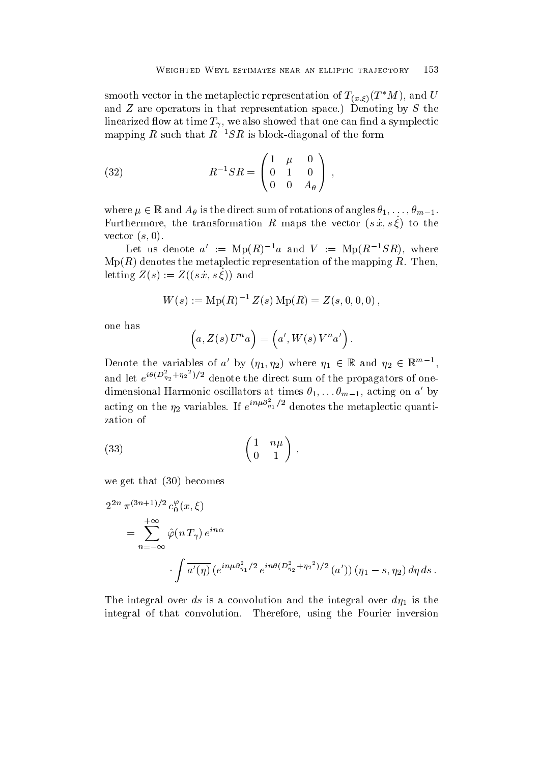-

smooth vector in the metaplectic representation of  $T_{(x,\xi)}(T^*M)$ , and  $U$ and  $Z$  are operators in that representation space.) Denoting by  $S$  the linearized flow at time  $T_{\gamma}$ , we also showed that one can find a symplectic mapping R such that  $R^{-1}S R$  is block-diagonal of the form

(32) 
$$
R^{-1}SR = \begin{pmatrix} 1 & \mu & 0 \\ 0 & 1 & 0 \\ 0 & 0 & A_{\theta} \end{pmatrix},
$$

where  $\mu \in \mathbb{R}$  and  $A_{\theta}$  is the direct sum of rotations of angles  $\theta_1, \ldots, \theta_{m-1}$ . Furthermore, the transformation  $R$  maps the vector  $(s|x, s \zeta)$  to the  $\cdots$  s-a-model  $\cdots$ 

Let us denote  $a' := \text{Mp}(R)^{-1}a$  and  $V := \text{Mp}(R^{-1}SR)$ , where  $Mp(R)$  denotes the metaplectic representation of the mapping R. Then, letting  $Z(s) := Z((s, t, s, \zeta))$  and

$$
W(s) := \mathrm{Mp}(R)^{-1} Z(s) \, \mathrm{Mp}(R) = Z(s, 0, 0, 0) \,,
$$

one has

$$
(a, Z(s) Un a) = (a', W(s) Vn a').
$$

Denote the variables of a' by  $(\eta_1, \eta_2)$  where  $\eta_1 \in \mathbb{R}$  and  $\eta_2 \in \mathbb{R}^{m-1}$ , and let  $e^{i\theta(D_{\eta_2}+\eta_2)/2}$  denote the direct sum of the propagators of onedimensional Harmonic oscillators at times  $\theta_1, \ldots, \theta_{m-1}$ , acting on  $a'$  by acting on the  $\eta_2$  variables. If  $e^{in\mu\sigma_{\eta_1}/2}$  denotes the metaplectic quantization of

$$
\begin{pmatrix} 1 & n\mu \\ 0 & 1 \end{pmatrix},
$$

we get that  $(30)$  becomes

$$
2^{2n} \pi^{(3n+1)/2} c_0^{\varphi}(x,\xi)
$$
  
= 
$$
\sum_{n=-\infty}^{+\infty} \hat{\varphi}(n T_\gamma) e^{in\alpha}
$$
  

$$
\int \overline{a'(\eta)} (e^{in\mu \partial_{\eta_1}^2/2} e^{in\theta (D_{\eta_2}^2 + \eta_2^2)/2} (a')) (\eta_1 - s, \eta_2) d\eta ds.
$$

The integral over discussion and integral over discussion and the integral over discussion and integral over a integral of that convolution. Therefore, using the Fourier inversion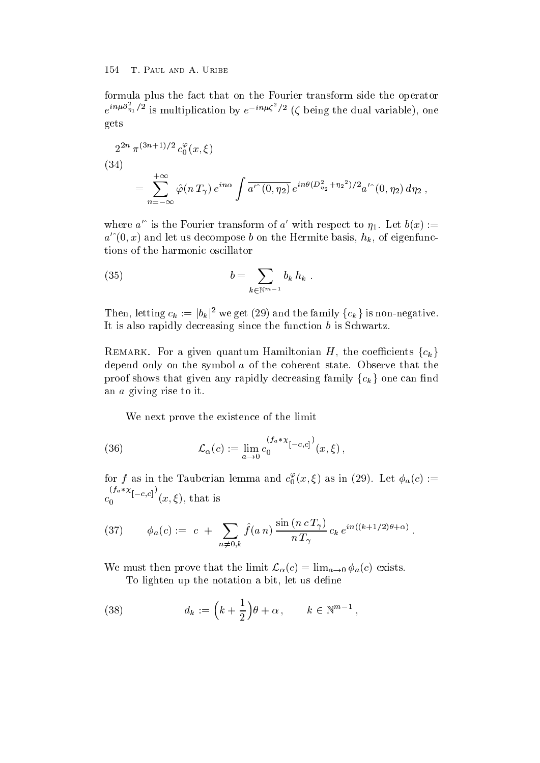formula plus the fact that on the Fourier transform side the operator  $e^{in\mu\sigma_{\eta_1}/2}$  is multiplication by  $e^{-in\mu\zeta^2/2}$  ( $\zeta$  being the dual variable), one gets

$$
2^{2n} \pi^{(3n+1)/2} c_0^{\varphi}(x,\xi)
$$
  
(34)  

$$
= \sum_{n=-\infty}^{+\infty} \hat{\varphi}(n T_\gamma) e^{in\alpha} \int \overline{a'^{(0,\eta_2)}} e^{in\theta(D_{\eta_2}^2 + \eta_2^2)/2} a'^{(0,\eta_2)} d\eta_2,
$$

where  $a^{\prime}$  is the Fourier transform of  $a^{\prime}$  with respect to  $\eta_1$ . Let  $b(x) :=$  $a^{\prime\,\gamma}(0,x)$  and let us decompose b on the Hermite basis,  $h_k$ , of eigenfunctions of the harmonic oscillator

(35) 
$$
b = \sum_{k \in \mathbb{N}^{m-1}} b_k h_k.
$$

Then, letting  $c_k := |b_k|^2$  we get (29) and the family  $\{c_k\}$  is non-negative. It is also rapidly decreasing since the function  $b$  is Schwartz.

REMARK. For a given quantum Hamiltonian H, the coefficients  $\{c_k\}$ depend only on the symbol  $a$  of the coherent state. Observe that the proof shows that given any rapidly decreasing family  ${c_k}$  one can find an a giving rise to it

We next prove the existence of the limit

(36) 
$$
\mathcal{L}_{\alpha}(c) := \lim_{a \to 0} c_0^{(f_a * \chi_{[-c,c]})} (x, \xi),
$$

for f as in the Tauberian lemma and  $c_0(x,\xi)$  as in (29). Let  $\phi_a(c):=$  $\sim$  contract to the contract of the contract of the contract of the contract of the contract of the contract of the contract of the contract of the contract of the contract of the contract of the contract of the contract  $\left(Ia \cdot \chi_{[-c,c]}\right)$  $\mathbf{u}$  ,  $\mathbf{v}$  is the interval of  $\mathbf{v}$  is the interval of  $\mathbf{v}$ 

(37) 
$$
\phi_a(c) := c + \sum_{n \neq 0, k} \hat{f}(a n) \frac{\sin (n c T_\gamma)}{n T_\gamma} c_k e^{i n ((k+1/2)\theta + \alpha)}
$$

We must then prove that the limit  $\mathcal{L}_{\alpha}(c) = \lim_{a \to 0} \phi_a(c)$  exists. To lighten up the notation a bit, let us define

(38) 
$$
d_k := \left(k + \frac{1}{2}\right)\theta + \alpha, \qquad k \in \mathbb{N}^{m-1},
$$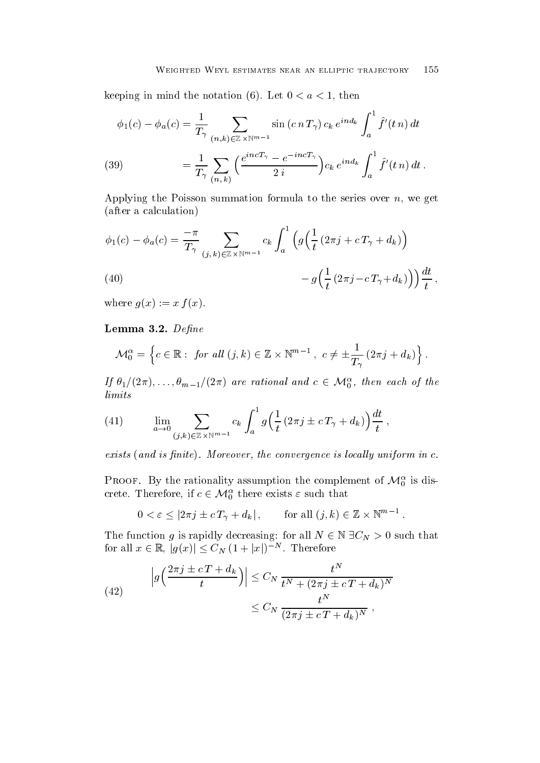keeping in mind the notation (6). Let  $0 < a < 1$ , then

(39) 
$$
\phi_1(c) - \phi_a(c) = \frac{1}{T_\gamma} \sum_{(n,k) \in \mathbb{Z} \times \mathbb{N}^{m-1}} \sin(c n T_\gamma) c_k e^{i n d_k} \int_a^1 \hat{f}'(t n) dt
$$

$$
= \frac{1}{T_\gamma} \sum_{(n,k)} \left( \frac{e^{i n c T_\gamma} - e^{-i n c T_\gamma}}{2 i} \right) c_k e^{i n d_k} \int_a^1 \hat{f}'(t n) dt.
$$

Applying the Poisson summation formula to the series over  $n$ , we get after a calculation

$$
\phi_1(c) - \phi_a(c) = \frac{-\pi}{T_\gamma} \sum_{(j,k)\in\mathbb{Z}\times\mathbb{N}^{m-1}} c_k \int_a^1 \left( g\left(\frac{1}{t} \left(2\pi j + c T_\gamma + d_k\right)\right) - g\left(\frac{1}{t} \left(2\pi j - c T_\gamma + d_k\right)\right) \right) \frac{dt}{t},
$$
\n(40)

where  $\mathcal{L}$  for  $\mathcal{L}$  for  $\mathcal{L}$  for  $\mathcal{L}$  for  $\mathcal{L}$  for  $\mathcal{L}$  for  $\mathcal{L}$ 

Lemma -- Dene

$$
\mathcal{M}_0^{\alpha} = \left\{ c \in \mathbb{R} : \text{ for all } (j,k) \in \mathbb{Z} \times \mathbb{N}^{m-1}, \ c \neq \pm \frac{1}{T_{\gamma}} \left( 2\pi j + d_k \right) \right\}.
$$

If  $\theta_1/(2\pi), \ldots, \theta_{m-1}/(2\pi)$  are rational and  $c \in \mathcal{M}_0^{\alpha}$ , then each of the limits

(41) 
$$
\lim_{a \to 0} \sum_{(j,k) \in \mathbb{Z} \times \mathbb{N}^{m-1}} c_k \int_a^1 g\left(\frac{1}{t} \left(2\pi j \pm c \, T_\gamma + d_k\right)\right) \frac{dt}{t},
$$

exists and is nite- Moreover the convergence is local ly uniform in c-

PROOF. By the rationality assumption the complement of  $\mathcal{M}_0^{\alpha}$  is discrete. Therefore, if  $c \in {\mathcal M}_0^\alpha$  there exists  $\varepsilon$  such that

$$
0 < \varepsilon \le |2\pi j \pm c T_\gamma + d_k| \,, \qquad \text{for all } (j,k) \in \mathbb{Z} \times \mathbb{N}^{m-1} \,.
$$

The function g is rapidly decreasing: for all  $N \in \mathbb{N}$   $\exists C_N > 0$  such that for all  $x \in \mathbb{R}$ ,  $|g(x)| \leq C_N (1+|x|)^{-N}$ . Therefore

(42) 
$$
\left| g\left(\frac{2\pi j \pm cT + d_k}{t}\right) \right| \leq C_N \frac{t^N}{t^N + (2\pi j \pm cT + d_k)^N}
$$

$$
\leq C_N \frac{t^N}{(2\pi j \pm cT + d_k)^N},
$$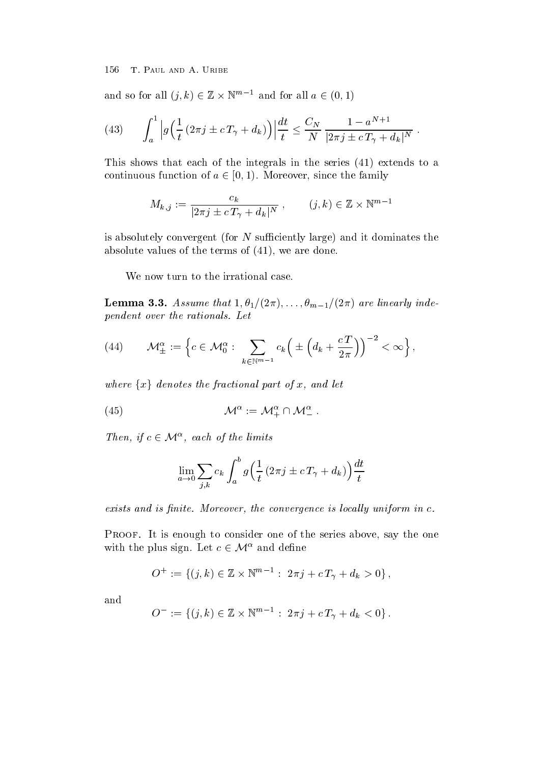and so for all  $(j,k) \in \mathbb{Z} \times \mathbb{N}^{m-1}$  and for all  $a \in (0,1)$ 

(43) 
$$
\int_a^1 \left| g\left(\frac{1}{t} \left(2\pi j \pm c T_\gamma + d_k\right)\right) \right| \frac{dt}{t} \leq \frac{C_N}{N} \frac{1 - a^{N+1}}{|2\pi j \pm c T_\gamma + d_k|^N}.
$$

This shows that each of the integrals in the series  $(41)$  extends to a continuous function of  $a \in [0, 1)$ . Moreover, since the family

$$
M_{k,j} := \frac{c_k}{|2\pi j \pm c \, T_\gamma + d_k|^N}, \qquad (j,k) \in \mathbb{Z} \times \mathbb{N}^{m-1}
$$

is absolutely convergent (for  $N$  sufficiently large) and it dominates the absolute values of the terms of  $(41)$ , we are done.

We now turn to the irrational case.

Lemma -- Assume that - 
-- m- are linearly inde pendent over the rations-contractions of the ratio of the ratio of the ratio of the ratio of the ratio of the r

$$
(44) \qquad \mathcal{M}_{\pm}^{\alpha}:=\left\{c\in\mathcal{M}_{0}^{\alpha}:\ \sum_{k\in\mathbb{N}^{m-1}}c_{k}\Big(\pm\Big(d_{k}+\frac{c\,T}{2\pi}\Big)\Big)^{-2}<\infty\right\},\right.
$$

where  $\{x\}$  denotes the fractional part of x, and let

 M  MM-

Then, if  $c \in \mathcal{M}^{\alpha}$ , each of the limits

$$
\lim_{a \to 0} \sum_{j,k} c_k \int_a^b g\left(\frac{1}{t} \left(2\pi j \pm c \, T_\gamma + d_k\right)\right) \frac{dt}{t}
$$

exists and is product www.steedy.com is nite-yented is locally and product in the convergence is  $\sim$ 

Proof- It is enough to consider one of the series above say the one with the plus sign. Let  $c \in \mathcal{M}^{\alpha}$  and define

$$
O^+ := \{(j,k) \in \mathbb{Z} \times \mathbb{N}^{m-1} : 2\pi j + c T_\gamma + d_k > 0\},\
$$

and

$$
O^- := \{(j,k) \in \mathbb{Z} \times \mathbb{N}^{m-1} : 2\pi j + c T_\gamma + d_k < 0\}.
$$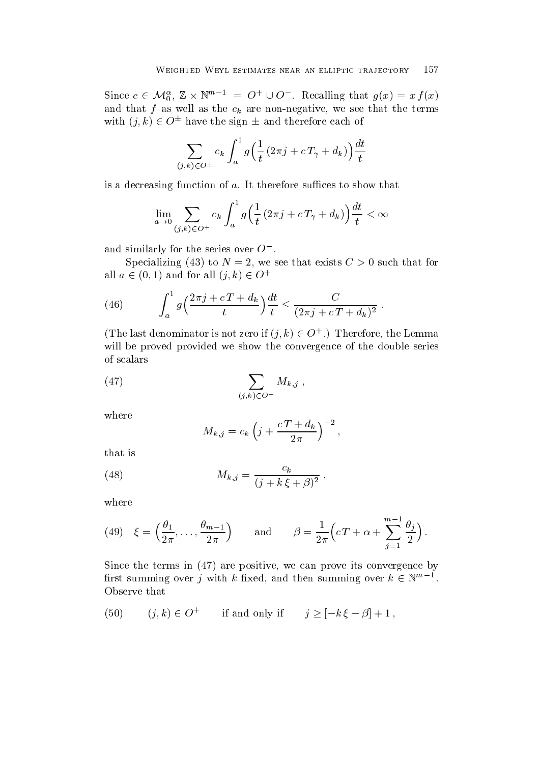Since  $c \in \mathcal{M}_0^{\alpha}, \mathbb{Z} \times \mathbb{N}^{m-1} = O^+ \cup O^-$ . Recalling that  $g(x) = x f(x)$ and the channel as the channel as the term of the terms of the terms of the terms of the terms of the terms of the terms of the terms of the terms of the terms of the terms of the terms of the terms of the terms of the te with  $(i, k) \in O^{\pm}$  have the sign  $\pm$  and therefore each of

$$
\sum_{(j,k)\in O^{\pm}}c_{k}\int_{a}^{1}g\Big(\frac{1}{t}\left(2\pi j+c\,T_{\gamma}+d_{k}\right)\Big)\frac{dt}{t}
$$

is a decreasing function of  $a$ . It therefore suffices to show that

$$
\lim_{a \to 0} \sum_{(j,k) \in O^+} c_k \int_a^1 g\left(\frac{1}{t} \left(2\pi j + c \, T_\gamma + d_k\right)\right) \frac{dt}{t} < \infty
$$

and similarly for the series over  $O^-$ .

Specializing (43) to  $N=2$ , we see that exists  $C>0$  such that for all  $a \in (0,1)$  and for all  $(j,k) \in U^+$ 

(46) 
$$
\int_{a}^{1} g\left(\frac{2\pi j + cT + d_{k}}{t}\right) \frac{dt}{t} \leq \frac{C}{(2\pi j + cT + d_{k})^{2}}.
$$

(The last denominator is not zero if  $(\iota, k) \in \mathcal{O}^+$ .) Therefore, the Lemma will be proved provided we show the convergence of the double series of scalars

$$
(47) \qquad \qquad \sum_{(j,k)\in O^+} M_{k,j} \ ,
$$

where

$$
M_{k,j} = c_k \left(j + \frac{c T + d_k}{2\pi}\right)^{-2},
$$

that is

(48) 
$$
M_{k,j} = \frac{c_k}{(j+k\,\xi+\beta)^2} \,,
$$

where

(49) 
$$
\xi = \left(\frac{\theta_1}{2\pi}, \dots, \frac{\theta_{m-1}}{2\pi}\right)
$$
 and  $\beta = \frac{1}{2\pi} \left(cT + \alpha + \sum_{j=1}^{m-1} \frac{\theta_j}{2}\right).$ 

Since the terms in  $(47)$  are positive, we can prove its convergence by first summing over j with k fixed, and then summing over  $k \in \mathbb{N}^{m-1}$ . Observe that

(50) 
$$
(j,k) \in O^+
$$
 if and only if  $j \geq [-k \xi - \beta] + 1$ ,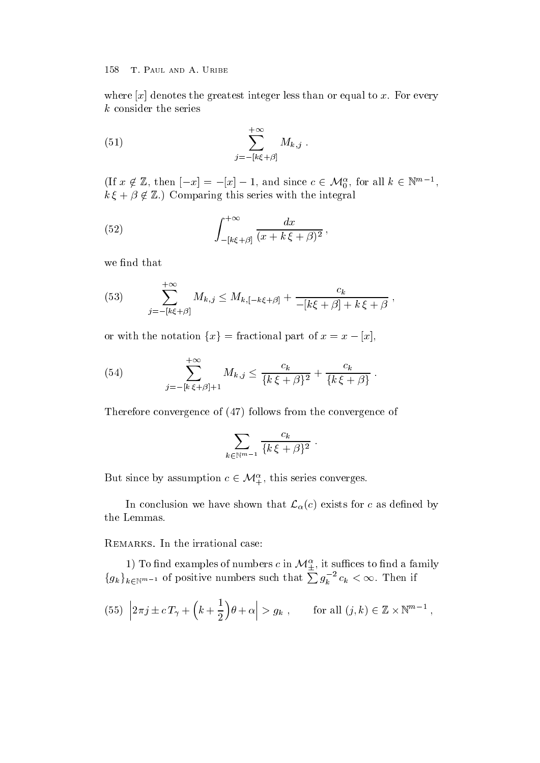where  $\lbrack x \rbrack$  denotes the greatest integer less than or equal to x. For every k consider the series

(51) 
$$
\sum_{j=-\left[k\xi+\beta\right]}^{+\infty} M_{k,j} .
$$

If  $x \notin \mathbb{Z}$ , then  $[-x] = -[x] - 1$ , and since  $c \in \mathcal{M}_0^{\alpha}$ , for all  $k \in \mathbb{N}^{m-1}$ ,  $k \xi + \beta \notin \mathbb{Z}$ .) Comparing this series with the integral

(52) 
$$
\int_{-[k\xi+\beta]}^{+\infty} \frac{dx}{(x+k\xi+\beta)^2},
$$

we find that

(53) 
$$
\sum_{j=-[k\xi+\beta]}^{+\infty} M_{k,j} \leq M_{k,[-k\xi+\beta]} + \frac{c_k}{-[k\xi+\beta]+k\xi+\beta},
$$

or with the notation  $\{x\}$  = fractional part of  $x = x - [x]$ ,

(54) 
$$
\sum_{j=-[k \xi+\beta]+1}^{+\infty} M_{k,j} \leq \frac{c_k}{\{k \xi+\beta\}^2} + \frac{c_k}{\{k \xi+\beta\}}.
$$

Therefore convergence of  $(47)$  follows from the convergence of

$$
\sum_{k\in\mathbb{N}^{m-1}}\frac{c_k}{\{k\,\xi+\beta\}^2}\;.
$$

But since by assumption  $c \in \mathcal{M}_{+}^{\alpha}$ , this series converges.

In conclusion we have shown that  $\mathcal{L}_{\alpha}(c)$  exists for c as defined by the Lemmas

1) To find examples of numbers  $c$  in  $\mathcal{M}^{\alpha}_{\pm}$ , it suffices to find a family  ${g_k}_{k \in \mathbb{N}^{m-1}}$  of positive numbers such that  $\sum g_k^{-2} c_k < \infty$ . Then if

(55) 
$$
|2\pi j \pm c T_\gamma + (k + \frac{1}{2})\theta + \alpha| > g_k
$$
, for all  $(j, k) \in \mathbb{Z} \times \mathbb{N}^{m-1}$ ,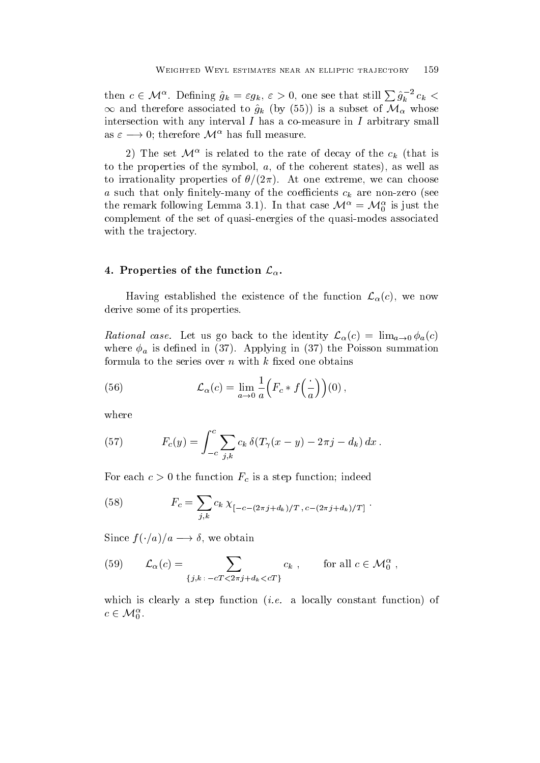then  $c \in \mathcal{M}^{\alpha}$ . Defining  $\hat{g}_k = \varepsilon g_k$ ,  $\varepsilon > 0$ , one see that still  $\sum \hat{g}_k^{-2} c_k <$  $\infty$  and therefore associated to  $\hat{g}_k$  (by (55)) is a subset of  $\mathcal{M}_{\alpha}$  whose intersection with any interval  $I$  has a co-measure in  $I$  arbitrary small as  $\varepsilon \longrightarrow 0$ ; therefore  $\mathcal{M}^{\alpha}$  has full measure.

2) The set  $\mathcal{M}^{\alpha}$  is related to the rate of decay of the  $c_k$  (that is to the properties of the symbol,  $a$ , of the coherent states), as well as to irrationality properties of  $\theta/(2\pi)$ . At one extreme, we can choose a such that only finitely-many of the coefficients  $c_k$  are non-zero (see the remark following Lemma 3.1). In that case  $\mathcal{M}^{\alpha} = \mathcal{M}_{0}^{\alpha}$  is just the complement of the set of quasi-energies of the quasi-modes associated with the trajectory.

### 4. Properties of the function  $\mathcal{L}_{\alpha}$ .

Having established the existence of the function  $\mathcal{L}_{\alpha}(c)$ , we now derive some of its properties

Rational case. Let us go back to the identity  $\mathcal{L}_{\alpha}(c) = \lim_{a \to 0} \phi_a(c)$ where  $\phi_a$  is defined in (37). Applying in (37) the Poisson summation formula to the series over  $n$  with  $k$  fixed one obtains

(56) 
$$
\mathcal{L}_{\alpha}(c) = \lim_{a \to 0} \frac{1}{a} \Big( F_c * f \Big( \frac{\cdot}{a} \Big) \Big) (0) \,,
$$

where

(57) 
$$
F_c(y) = \int_{-c}^{c} \sum_{j,k} c_k \,\delta(T_\gamma(x-y) - 2\pi j - d_k) \, dx \, .
$$

For each  $c > 0$  the function  $F_c$  is a step function; indeed

(58) 
$$
F_c = \sum_{j,k} c_k \chi_{[-c-(2\pi j + d_k)/T, c-(2\pi j + d_k)/T]}.
$$

Since  $f(\cdot/a)/a \longrightarrow o$ , we obtain

(59) 
$$
\mathcal{L}_{\alpha}(c) = \sum_{\{j,k \,:\, -cT < 2\pi j + d_k < cT\}} c_k \;, \qquad \text{for all } c \in \mathcal{M}_0^{\alpha} \;,
$$

 $\cdots$  and is constant function is constant function in the constant function of  $\cdots$  .  $c \in \mathcal{M}_0^{\alpha}$ . -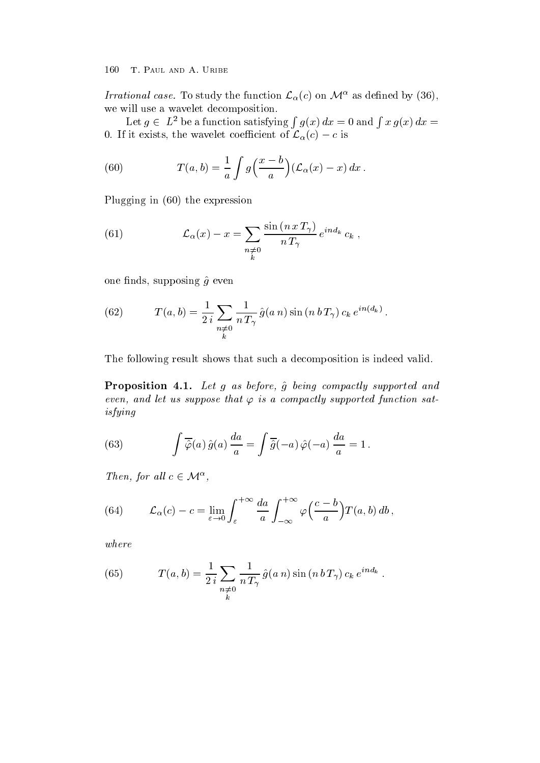Irrational case. To study the function  $\mathcal{L}_{\alpha}(c)$  on  $\mathcal{M}^{\alpha}$  as defined by (36), we will use a wavelet decomposition

Let  $g \in L^2$  be a function satisfying  $\int g(x) dx = 0$  and  $\int x g(x) dx =$ 0. If it exists, the wavelet coefficient of  $\mathcal{L}_{\alpha}(c) - c$  is

(60) 
$$
T(a,b) = \frac{1}{a} \int g\left(\frac{x-b}{a}\right) \left(\mathcal{L}_{\alpha}(x) - x\right) dx.
$$

Plugging in  $(60)$  the expression

(61) 
$$
\mathcal{L}_{\alpha}(x) - x = \sum_{\substack{n \neq 0 \\ k}} \frac{\sin (n \, x \, T_{\gamma})}{n \, T_{\gamma}} e^{i n d_k} c_k ,
$$

one finds, supposing  $\hat{g}$  even

(62) 
$$
T(a,b) = \frac{1}{2i} \sum_{\substack{n \neq 0 \\ k}} \frac{1}{n T_{\gamma}} \hat{g}(a n) \sin(n b T_{\gamma}) c_k e^{i n (d_k)}.
$$

The following result shows that such a decomposition is indeed valid

Proposition --Let g as before g being compactly supported and even, and let us suppose that  $\varphi$  is a compactly supported function satisfying

(63) 
$$
\int \overline{\hat{\varphi}}(a) \hat{g}(a) \frac{da}{a} = \int \overline{\hat{g}}(-a) \hat{\varphi}(-a) \frac{da}{a} = 1.
$$

Then, for all  $c \in \mathcal{M}^{\alpha}$ ,

(64) 
$$
\mathcal{L}_{\alpha}(c) - c = \lim_{\varepsilon \to 0} \int_{\varepsilon}^{+\infty} \frac{da}{a} \int_{-\infty}^{+\infty} \varphi\left(\frac{c-b}{a}\right) T(a,b) \, db \, ,
$$

where

(65) 
$$
T(a,b) = \frac{1}{2i} \sum_{\substack{n \neq 0 \\ k}} \frac{1}{n T_{\gamma}} \hat{g}(a n) \sin(n b T_{\gamma}) c_k e^{i n d_k}.
$$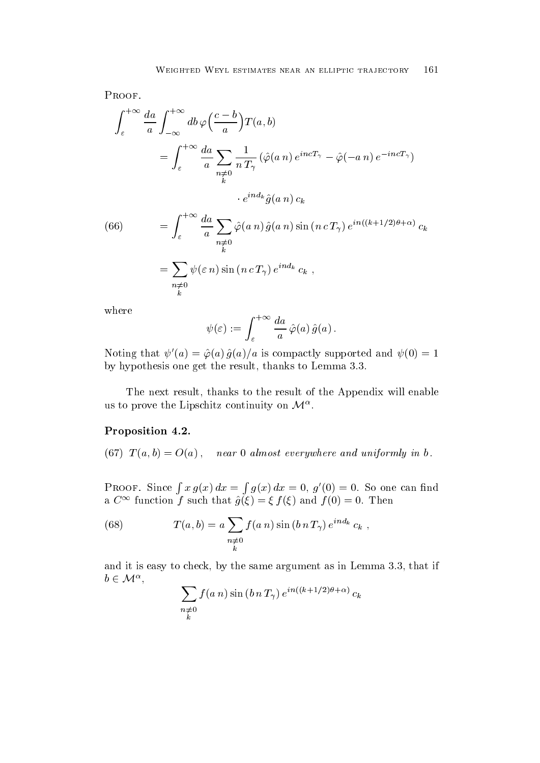PROOF.

$$
\int_{\varepsilon}^{+\infty} \frac{da}{a} \int_{-\infty}^{+\infty} db \varphi \left( \frac{c-b}{a} \right) T(a,b)
$$
  
= 
$$
\int_{\varepsilon}^{+\infty} \frac{da}{a} \sum_{\substack{n \neq 0 \\ k}} \frac{1}{n T_{\gamma}} \left( \hat{\varphi}(a \, n) \, e^{i n c T_{\gamma}} - \hat{\varphi}(-a \, n) \, e^{-i n c T_{\gamma}} \right)
$$

$$
\cdot e^{i n d_k} \hat{g}(a \, n) \, c_k
$$

(66) 
$$
= \int_{\varepsilon}^{+\infty} \frac{da}{a} \sum_{\substack{n \neq 0 \\ k}} \hat{\varphi}(a n) \hat{g}(a n) \sin(n c T_{\gamma}) e^{in((k+1/2)\theta + \alpha)} c_k
$$

$$
= \sum_{\substack{n \neq 0 \\ k}} \psi(\varepsilon n) \sin(n c T_{\gamma}) e^{in d_k} c_k ,
$$

where

$$
\psi(\varepsilon):=\int_{\varepsilon}^{+\infty}\frac{da}{a}\,\hat{\varphi}(a)\,\hat{g}(a)\,.
$$

Noting that  $\psi'(a) = \hat{\varphi}(a) \hat{g}(a)/a$  is compactly supported and  $\psi(0) = 1$ by hypothesis one get the result, thanks to Lemma 3.3.

The next result, thanks to the result of the Appendix will enable us to prove the Lipschitz continuity on  $\mathcal{M}^{\alpha}$ .

### Proposition --

 $\mathbf{b}$  are almost everywhere and uniformly in both  $\mathbf{d}$ 

PROOF. Since  $\int x q(x) dx = \int q(x) dx =$  $q(x) dx = 0, q'(0) = 0.$  So one can find a  $C^{\infty}$  function f such that  $\hat{g}(\xi) = \xi f(\xi)$  and  $f(0) = 0$ . Then

(68) 
$$
T(a, b) = a \sum_{\substack{n \neq 0 \\ k}} f(a \, n) \sin(b \, n \, T_{\gamma}) \, e^{i n d_k} \, c_k \ ,
$$

and it is easy to check, by the same argument as in Lemma  $3.3$ , that if  $b \in \mathcal{M}^{\alpha},$ 

$$
\sum_{\substack{n \neq 0 \\ k}} f(a n) \sin(b n T_\gamma) e^{i n((k+1/2)\theta + \alpha)} c_k
$$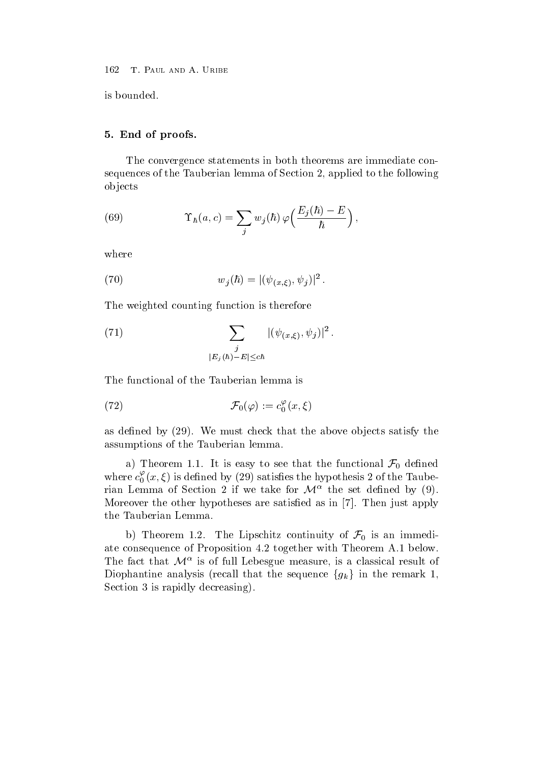is bounded

## - End of proofs-based and proofs-based and proofs-based and proofs-based and proofs-based and proofs-based and

The convergence statements in both theorems are immediate con sequences of the Tauberian lemma of Section 2, applied to the following ob jects

(69) 
$$
\Upsilon_{\hbar}(a,c) = \sum_{j} w_{j}(\hbar) \varphi\left(\frac{E_{j}(\hbar) - E}{\hbar}\right),
$$

where

(70) 
$$
w_j(\hbar) = |(\psi_{(x,\xi)}, \psi_j)|^2.
$$

The weighted counting function is therefore

(71) 
$$
\sum_{\substack{j \\ |E_j(\hbar)-E| \le c\hbar}} |(\psi_{(x,\xi)}, \psi_j)|^2.
$$

The functional of the Tauberian lemma is

(72) 
$$
\mathcal{F}_0(\varphi) := c_0^{\varphi}(x,\xi)
$$

as defined by  $(29)$ . We must check that the above objects satisfy the assumptions of the Tauberian lemma

a) Theorem 1.1. It is easy to see that the functional  $\mathcal{F}_0$  defined where  $c_0(x,\xi)$  is defined by (29) satisfies the hypothesis 2 of the Tauberian Lemma of Section 2 if we take for  $\mathcal{M}^{\alpha}$  the set defined by (9). Moreover the other hypotheses are satisfied as in [7]. Then just apply the Tauberian Lemma

b) Theorem 1.2. The Lipschitz continuity of  $\mathcal{F}_0$  is an immediate consequence of Proposition 4.2 together with Theorem A.1 below. The fact that  $\mathcal{M}^{\alpha}$  is of full Lebesgue measure, is a classical result of Diophantine analysis (recall that the sequence  ${g_k}$  in the remark 1, Section  $3$  is rapidly decreasing).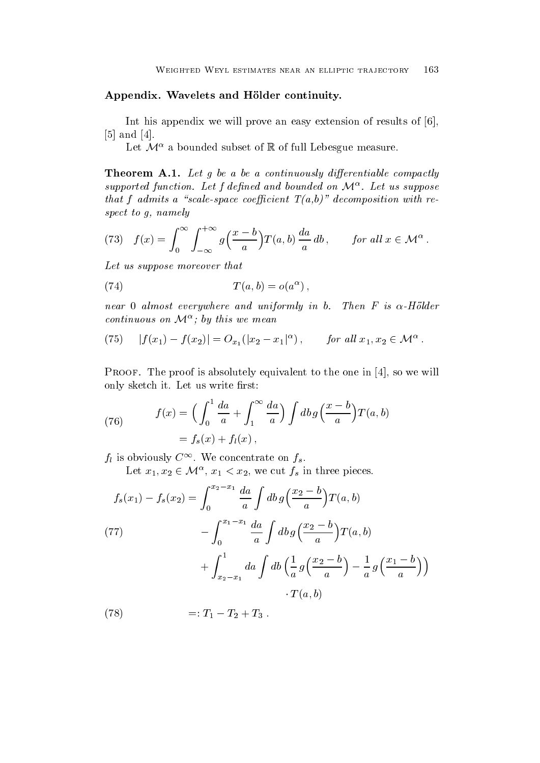#### Appendix- Wavelets and Holder continuity-

Int his appendix we will prove an easy extension of results of  $[6]$ ,  $[5]$  and  $[4]$ .

Let  $\mathcal{M}^{\alpha}$  a bounded subset of  $\mathbb R$  of full Lebesgue measure.

Theorem A-- Let g be a be a continuously dierentiable compactly supported function. Let f defined and bounded on  $\mathcal{M}^{\alpha}$ . Let us suppose that f admits a scalespace coecient T ab decomposition with re spect to  $q$ , namely

(73) 
$$
f(x) = \int_0^\infty \int_{-\infty}^{+\infty} g\left(\frac{x-b}{a}\right) T(a,b) \frac{da}{a} db, \quad \text{for all } x \in \mathcal{M}^\alpha.
$$

Let us suppose moreover that

$$
(74) \tT(a,b) = o(a^{\alpha}),
$$

near a monthles everywhere and uniformly in bit where  $\sim$  is the monthless  $\sim$ continuous on  $\mathcal{M}^{\alpha}$ ; by this we mean

(75) 
$$
|f(x_1) - f(x_2)| = O_{x_1}(|x_2 - x_1|^{\alpha}), \quad \text{for all } x_1, x_2 \in \mathcal{M}^{\alpha}.
$$

Proof- The proof is absolutely equivalent to the one in so we will only sketch it. Let us write first:

(76) 
$$
f(x) = \left(\int_0^1 \frac{da}{a} + \int_1^\infty \frac{da}{a}\right) \int db \, g\left(\frac{x-b}{a}\right) T(a,b)
$$

$$
= f_s(x) + f_l(x),
$$

 $f_l$  is obviously  $C^{\infty}$ . We concentrate on  $f_s$ .

Let  $x_1, x_2 \in \mathcal{M}^{\alpha}, x_1 < x_2$ , we cut  $f_s$  in three pieces.

(77)  
\n
$$
f_s(x_1) - f_s(x_2) = \int_0^{x_2 - x_1} \frac{da}{a} \int db g\left(\frac{x_2 - b}{a}\right) T(a, b)
$$
\n
$$
- \int_0^{x_1 - x_1} \frac{da}{a} \int db g\left(\frac{x_2 - b}{a}\right) T(a, b)
$$
\n
$$
+ \int_{x_2 - x_1}^1 da \int db \left(\frac{1}{a} g\left(\frac{x_2 - b}{a}\right) - \frac{1}{a} g\left(\frac{x_1 - b}{a}\right)\right)
$$
\n
$$
\cdot T(a, b)
$$

 $(78)$  $1_1 - 1_2 - 1_3$ .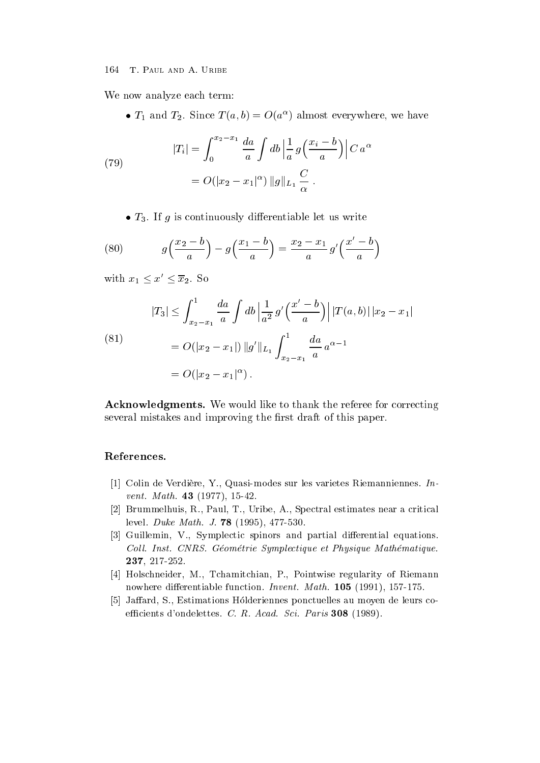We now analyze each term:

 $\bullet$   $I_1$  and  $I_2$ . Since  $I(a, b) = O(a^{\infty})$  almost everywhere, we have

(79) 
$$
|T_i| = \int_0^{x_2 - x_1} \frac{da}{a} \int db \left| \frac{1}{a} g\left(\frac{x_i - b}{a}\right) \right| C a^{\alpha}
$$

$$
= O(|x_2 - x_1|^{\alpha}) ||g||_{L_1} \frac{C}{\alpha} .
$$

 $\bullet$  13. If  $g$  is continuously differentiable let us write

(80) 
$$
g\left(\frac{x_2-b}{a}\right) - g\left(\frac{x_1-b}{a}\right) = \frac{x_2-x_1}{a}g'\left(\frac{x'-b}{a}\right)
$$

with  $x_1 \leq x' \leq \overline{x}_2$ . So

(81)  

$$
|T_3| \le \int_{x_2 - x_1}^1 \frac{da}{a} \int db \left| \frac{1}{a^2} g'\left(\frac{x' - b}{a}\right) \right| |T(a, b)| |x_2 - x_1|
$$

$$
= O(|x_2 - x_1|) \|g'\|_{L_1} \int_{x_2 - x_1}^1 \frac{da}{a} a^{\alpha - 1}
$$

$$
= O(|x_2 - x_1|^\alpha).
$$

 $\blacksquare$ several mistakes and improving the first draft of this paper.

# References-

- [1] Colin de Verdière, Y., Quasi-modes sur les varietes Riemanniennes. Invent Math - -
- [2] Brummelhuis, R., Paul, T., Uribe, A., Spectral estimates near a critical level <del>a</del> multane math and a self-off and a self-order
- Guillemin V Symplectic spinors and partial dierential equations Coll. Inst. CNRS. Géométrie Symplectique et Physique Mathématique. -
- - Holschneider M Tchamitchian P Pointwise regularity of Riemann nowhere differentiable function. Invent. Math.  $105$  (1991), 157-175.
- [5] Jaffard, S., Estimations Holderiennes ponctuelles au moyen de leurs coecients dondelettes C R Academy C C C R Academy Science (Seite ).